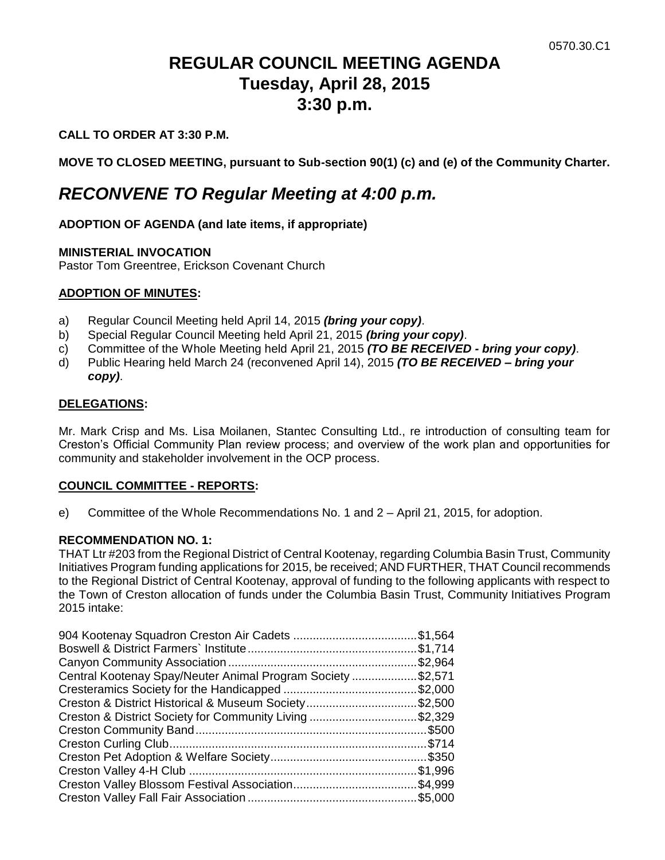# **REGULAR COUNCIL MEETING AGENDA Tuesday, April 28, 2015 3:30 p.m.**

# **CALL TO ORDER AT 3:30 P.M.**

**MOVE TO CLOSED MEETING, pursuant to Sub-section 90(1) (c) and (e) of the Community Charter.**

# *RECONVENE TO Regular Meeting at 4:00 p.m.*

### **ADOPTION OF AGENDA (and late items, if appropriate)**

### **MINISTERIAL INVOCATION**

Pastor Tom Greentree, Erickson Covenant Church

### **ADOPTION OF MINUTES:**

- a) Regular Council Meeting held April 14, 2015 *(bring your copy)*.
- b) Special Regular Council Meeting held April 21, 2015 *(bring your copy)*.
- c) Committee of the Whole Meeting held April 21, 2015 *(TO BE RECEIVED - bring your copy)*.
- d) Public Hearing held March 24 (reconvened April 14), 2015 *(TO BE RECEIVED – bring your copy)*.

### **DELEGATIONS:**

Mr. Mark Crisp and Ms. Lisa Moilanen, Stantec Consulting Ltd., re introduction of consulting team for Creston's Official Community Plan review process; and overview of the work plan and opportunities for community and stakeholder involvement in the OCP process.

### **COUNCIL COMMITTEE - REPORTS:**

e) Committee of the Whole Recommendations No. 1 and 2 – April 21, 2015, for adoption.

### **RECOMMENDATION NO. 1:**

THAT Ltr #203 from the Regional District of Central Kootenay, regarding Columbia Basin Trust, Community Initiatives Program funding applications for 2015, be received; AND FURTHER, THAT Council recommends to the Regional District of Central Kootenay, approval of funding to the following applicants with respect to the Town of Creston allocation of funds under the Columbia Basin Trust, Community Initiatives Program 2015 intake:

| 904 Kootenay Squadron Creston Air Cadets \$1,564            |          |
|-------------------------------------------------------------|----------|
|                                                             |          |
|                                                             | \$2,964  |
| Central Kootenay Spay/Neuter Animal Program Society \$2,571 |          |
|                                                             |          |
| Creston & District Historical & Museum Society\$2,500       |          |
| Creston & District Society for Community Living \$2,329     |          |
|                                                             |          |
|                                                             |          |
|                                                             |          |
|                                                             | \$1,996. |
|                                                             |          |
|                                                             |          |
|                                                             |          |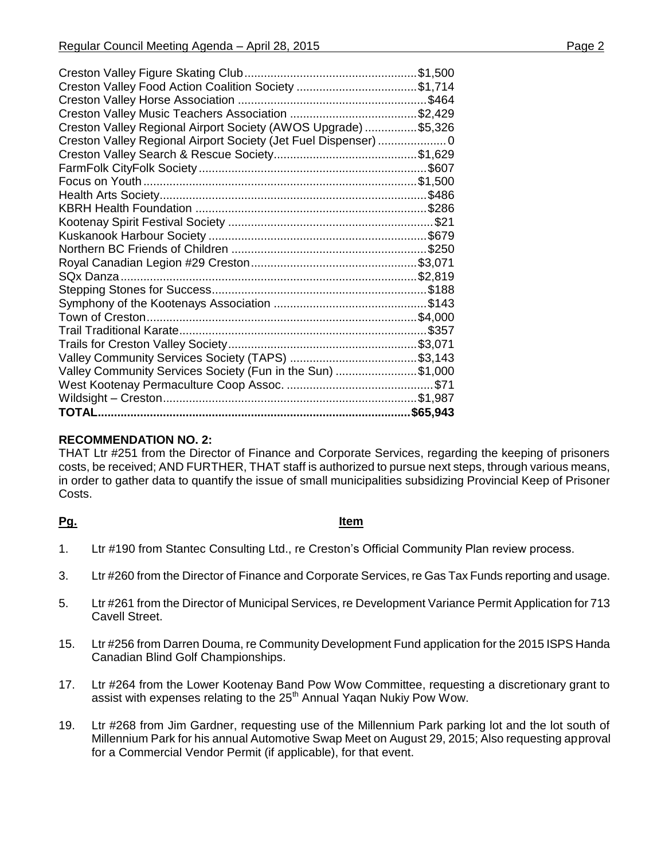| Creston Valley Regional Airport Society (AWOS Upgrade) \$5,326  |
|-----------------------------------------------------------------|
| Creston Valley Regional Airport Society (Jet Fuel Dispenser)  0 |
|                                                                 |
|                                                                 |
|                                                                 |
|                                                                 |
|                                                                 |
|                                                                 |
|                                                                 |
|                                                                 |
|                                                                 |
|                                                                 |
|                                                                 |
|                                                                 |
|                                                                 |
|                                                                 |
|                                                                 |
|                                                                 |
| Valley Community Services Society (Fun in the Sun) \$1,000      |
|                                                                 |
|                                                                 |
|                                                                 |
|                                                                 |

# **RECOMMENDATION NO. 2:**

THAT Ltr #251 from the Director of Finance and Corporate Services, regarding the keeping of prisoners costs, be received; AND FURTHER, THAT staff is authorized to pursue next steps, through various means, in order to gather data to quantify the issue of small municipalities subsidizing Provincial Keep of Prisoner Costs.

# **Pg. Item**

- 1. Ltr #190 from Stantec Consulting Ltd., re Creston's Official Community Plan review process.
- 3. Ltr #260 from the Director of Finance and Corporate Services, re Gas Tax Funds reporting and usage.
- 5. Ltr #261 from the Director of Municipal Services, re Development Variance Permit Application for 713 Cavell Street.
- 15. Ltr #256 from Darren Douma, re Community Development Fund application for the 2015 ISPS Handa Canadian Blind Golf Championships.
- 17. Ltr #264 from the Lower Kootenay Band Pow Wow Committee, requesting a discretionary grant to assist with expenses relating to the 25<sup>th</sup> Annual Yaqan Nukiy Pow Wow.
- 19. Ltr #268 from Jim Gardner, requesting use of the Millennium Park parking lot and the lot south of Millennium Park for his annual Automotive Swap Meet on August 29, 2015; Also requesting approval for a Commercial Vendor Permit (if applicable), for that event.